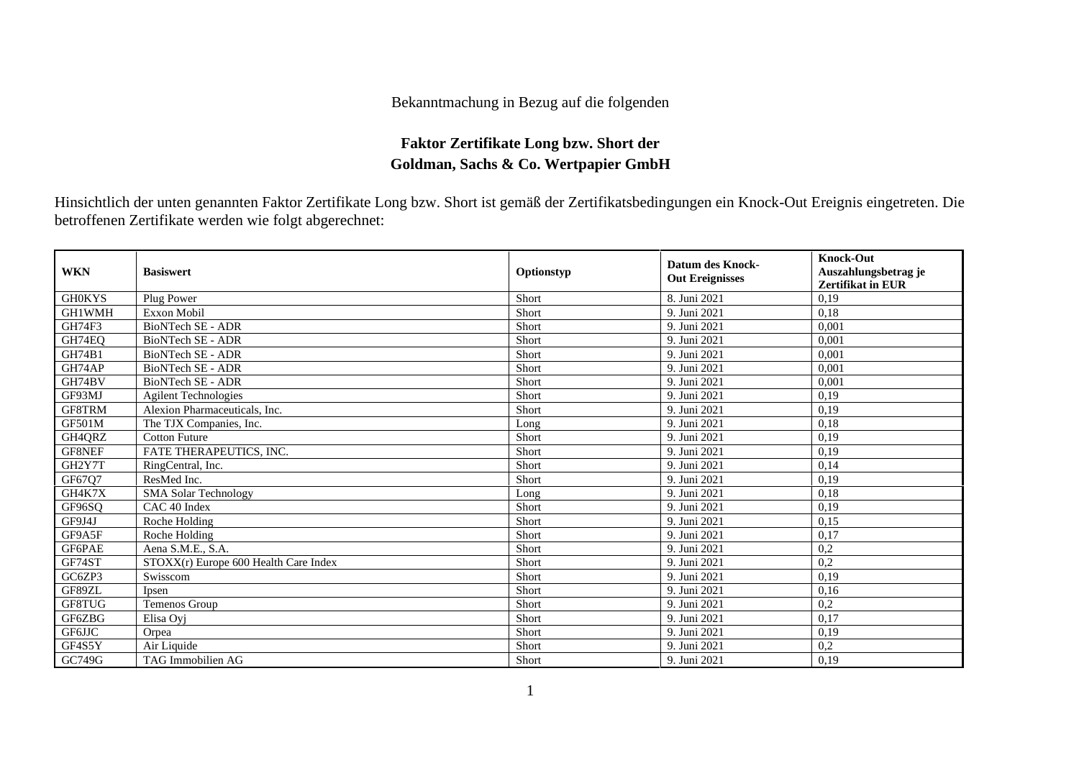## Bekanntmachung in Bezug auf die folgenden

## **Faktor Zertifikate Long bzw. Short der Goldman, Sachs & Co. Wertpapier GmbH**

Hinsichtlich der unten genannten Faktor Zertifikate Long bzw. Short ist gemäß der Zertifikatsbedingungen ein Knock-Out Ereignis eingetreten. Die betroffenen Zertifikate werden wie folgt abgerechnet:

| <b>WKN</b>    | <b>Basiswert</b>                      | Optionstyp   | <b>Datum des Knock-</b><br><b>Out Ereignisses</b> | <b>Knock-Out</b><br>Auszahlungsbetrag je<br><b>Zertifikat in EUR</b> |
|---------------|---------------------------------------|--------------|---------------------------------------------------|----------------------------------------------------------------------|
| <b>GH0KYS</b> | Plug Power                            | Short        | 8. Juni 2021                                      | 0.19                                                                 |
| <b>GH1WMH</b> | <b>Exxon Mobil</b>                    | Short        | 9. Juni 2021                                      | 0,18                                                                 |
| GH74F3        | <b>BioNTech SE - ADR</b>              | Short        | 9. Juni 2021                                      | 0.001                                                                |
| GH74EQ        | <b>BioNTech SE - ADR</b>              | Short        | 9. Juni 2021                                      | 0.001                                                                |
| GH74B1        | <b>BioNTech SE - ADR</b>              | Short        | 9. Juni 2021                                      | 0.001                                                                |
| GH74AP        | <b>BioNTech SE - ADR</b>              | Short        | 9. Juni 2021                                      | 0.001                                                                |
| GH74BV        | <b>BioNTech SE - ADR</b>              | Short        | 9. Juni 2021                                      | 0,001                                                                |
| GF93MJ        | <b>Agilent Technologies</b>           | Short        | 9. Juni 2021                                      | 0.19                                                                 |
| GF8TRM        | Alexion Pharmaceuticals, Inc.         | Short        | 9. Juni 2021                                      | 0,19                                                                 |
| GF501M        | The TJX Companies, Inc.               | Long         | 9. Juni 2021                                      | 0.18                                                                 |
| GH4QRZ        | <b>Cotton Future</b>                  | Short        | 9. Juni 2021                                      | 0,19                                                                 |
| GF8NEF        | <b>FATE THERAPEUTICS, INC.</b>        | Short        | 9. Juni 2021                                      | 0.19                                                                 |
| GH2Y7T        | RingCentral, Inc.                     | Short        | 9. Juni 2021                                      | 0.14                                                                 |
| GF67Q7        | ResMed Inc.                           | Short        | 9. Juni 2021                                      | 0,19                                                                 |
| GH4K7X        | <b>SMA Solar Technology</b>           | Long         | 9. Juni 2021                                      | 0,18                                                                 |
| GF96SO        | CAC 40 Index                          | Short        | 9. Juni 2021                                      | 0,19                                                                 |
| GF9J4J        | Roche Holding                         | Short        | 9. Juni 2021                                      | 0,15                                                                 |
| GF9A5F        | Roche Holding                         | Short        | 9. Juni 2021                                      | 0,17                                                                 |
| GF6PAE        | Aena S.M.E., S.A.                     | Short        | 9. Juni 2021                                      | 0,2                                                                  |
| GF74ST        | STOXX(r) Europe 600 Health Care Index | <b>Short</b> | 9. Juni 2021                                      | 0,2                                                                  |
| GC6ZP3        | Swisscom                              | Short        | 9. Juni 2021                                      | 0,19                                                                 |
| GF89ZL        | Ipsen                                 | Short        | 9. Juni 2021                                      | 0,16                                                                 |
| GF8TUG        | Temenos Group                         | Short        | 9. Juni 2021                                      | 0,2                                                                  |
| GF6ZBG        | Elisa Ovi                             | Short        | 9. Juni 2021                                      | 0,17                                                                 |
| GF6JJC        | Orpea                                 | Short        | 9. Juni 2021                                      | 0,19                                                                 |
| GF4S5Y        | Air Liquide                           | Short        | 9. Juni 2021                                      | 0,2                                                                  |
| GC749G        | <b>TAG Immobilien AG</b>              | Short        | 9. Juni 2021                                      | 0,19                                                                 |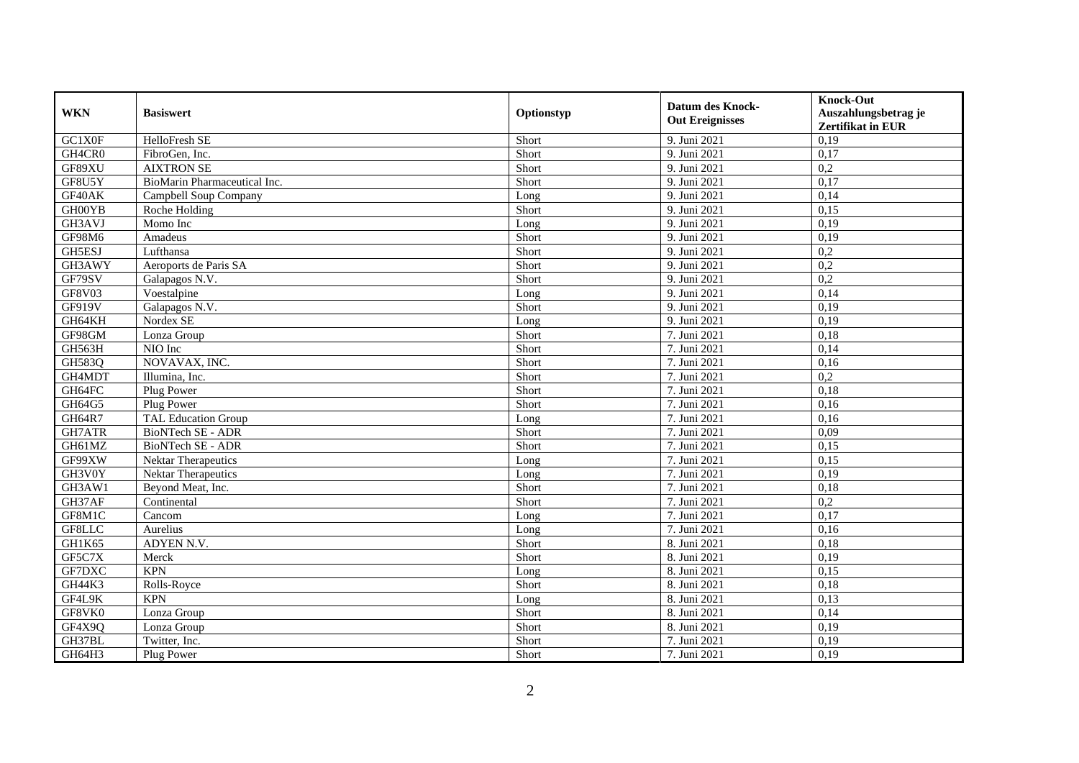| <b>WKN</b>    | <b>Basiswert</b>             | Optionstyp | <b>Datum des Knock-</b><br><b>Out Ereignisses</b> | <b>Knock-Out</b><br>Auszahlungsbetrag je<br><b>Zertifikat in EUR</b> |
|---------------|------------------------------|------------|---------------------------------------------------|----------------------------------------------------------------------|
| GC1X0F        | HelloFresh SE                | Short      | 9. Juni 2021                                      | 0,19                                                                 |
| GH4CR0        | FibroGen, Inc.               | Short      | 9. Juni 2021                                      | 0,17                                                                 |
| GF89XU        | <b>AIXTRON SE</b>            | Short      | 9. Juni 2021                                      | 0,2                                                                  |
| GF8U5Y        | BioMarin Pharmaceutical Inc. | Short      | 9. Juni 2021                                      | 0,17                                                                 |
| GF40AK        | Campbell Soup Company        | Long       | 9. Juni 2021                                      | 0,14                                                                 |
| GH00YB        | Roche Holding                | Short      | 9. Juni 2021                                      | 0,15                                                                 |
| GH3AVJ        | Momo Inc                     | Long       | 9. Juni 2021                                      | 0,19                                                                 |
| GF98M6        | Amadeus                      | Short      | 9. Juni 2021                                      | 0,19                                                                 |
| GH5ESJ        | Lufthansa                    | Short      | 9. Juni 2021                                      | 0,2                                                                  |
| GH3AWY        | Aeroports de Paris SA        | Short      | 9. Juni 2021                                      | 0,2                                                                  |
| GF79SV        | Galapagos N.V.               | Short      | 9. Juni 2021                                      | 0,2                                                                  |
| <b>GF8V03</b> | Voestalpine                  | Long       | 9. Juni 2021                                      | 0,14                                                                 |
| GF919V        | Galapagos N.V.               | Short      | 9. Juni 2021                                      | 0,19                                                                 |
| GH64KH        | Nordex SE                    | Long       | 9. Juni 2021                                      | 0,19                                                                 |
| GF98GM        | Lonza Group                  | Short      | 7. Juni 2021                                      | 0,18                                                                 |
| GH563H        | NIO Inc                      | Short      | 7. Juni 2021                                      | 0,14                                                                 |
| GH583Q        | NOVAVAX, INC.                | Short      | 7. Juni 2021                                      | 0,16                                                                 |
| GH4MDT        | Illumina, Inc.               | Short      | 7. Juni 2021                                      | 0,2                                                                  |
| GH64FC        | Plug Power                   | Short      | 7. Juni 2021                                      | 0,18                                                                 |
| GH64G5        | Plug Power                   | Short      | 7. Juni 2021                                      | 0,16                                                                 |
| GH64R7        | <b>TAL Education Group</b>   | Long       | 7. Juni 2021                                      | 0,16                                                                 |
| GH7ATR        | <b>BioNTech SE - ADR</b>     | Short      | 7. Juni 2021                                      | 0,09                                                                 |
| GH61MZ        | BioNTech SE - ADR            | Short      | 7. Juni 2021                                      | 0,15                                                                 |
| GF99XW        | Nektar Therapeutics          | Long       | 7. Juni 2021                                      | 0,15                                                                 |
| GH3V0Y        | <b>Nektar Therapeutics</b>   | Long       | 7. Juni 2021                                      | 0,19                                                                 |
| GH3AW1        | Beyond Meat, Inc.            | Short      | 7. Juni 2021                                      | 0,18                                                                 |
| GH37AF        | Continental                  | Short      | 7. Juni 2021                                      | 0,2                                                                  |
| GF8M1C        | Cancom                       | Long       | 7. Juni 2021                                      | 0,17                                                                 |
| GF8LLC        | Aurelius                     | Long       | 7. Juni 2021                                      | 0,16                                                                 |
| GH1K65        | ADYEN N.V.                   | Short      | 8. Juni 2021                                      | 0,18                                                                 |
| GF5C7X        | Merck                        | Short      | 8. Juni 2021                                      | 0,19                                                                 |
| GF7DXC        | <b>KPN</b>                   | Long       | 8. Juni 2021                                      | 0,15                                                                 |
| GH44K3        | Rolls-Royce                  | Short      | 8. Juni 2021                                      | 0,18                                                                 |
| GF4L9K        | <b>KPN</b>                   | Long       | 8. Juni 2021                                      | 0,13                                                                 |
| GF8VK0        | Lonza Group                  | Short      | 8. Juni 2021                                      | 0,14                                                                 |
| GF4X9Q        | Lonza Group                  | Short      | 8. Juni 2021                                      | 0,19                                                                 |
| GH37BL        | Twitter, Inc.                | Short      | 7. Juni 2021                                      | 0,19                                                                 |
| GH64H3        | Plug Power                   | Short      | 7. Juni 2021                                      | 0,19                                                                 |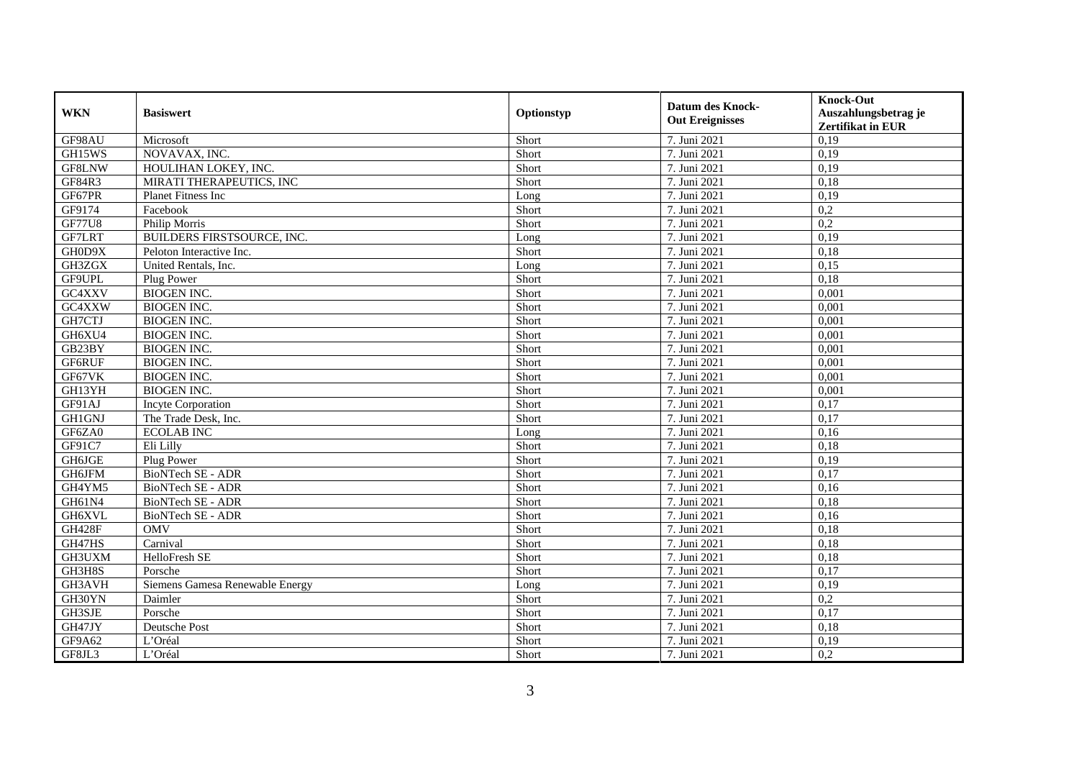| <b>WKN</b>    | <b>Basiswert</b>                | Optionstyp | <b>Datum des Knock-</b><br><b>Out Ereignisses</b> | <b>Knock-Out</b><br>Auszahlungsbetrag je<br><b>Zertifikat in EUR</b> |
|---------------|---------------------------------|------------|---------------------------------------------------|----------------------------------------------------------------------|
| GF98AU        | Microsoft                       | Short      | 7. Juni 2021                                      | 0,19                                                                 |
| GH15WS        | NOVAVAX, INC.                   | Short      | 7. Juni 2021                                      | 0,19                                                                 |
| GF8LNW        | HOULIHAN LOKEY, INC.            | Short      | 7. Juni 2021                                      | 0,19                                                                 |
| GF84R3        | MIRATI THERAPEUTICS, INC        | Short      | 7. Juni 2021                                      | 0,18                                                                 |
| GF67PR        | Planet Fitness Inc              | Long       | 7. Juni 2021                                      | 0,19                                                                 |
| GF9174        | Facebook                        | Short      | 7. Juni 2021                                      | $\overline{0.2}$                                                     |
| GF77U8        | Philip Morris                   | Short      | 7. Juni 2021                                      | 0,2                                                                  |
| GF7LRT        | BUILDERS FIRSTSOURCE, INC.      | Long       | 7. Juni 2021                                      | 0,19                                                                 |
| GH0D9X        | Peloton Interactive Inc.        | Short      | 7. Juni 2021                                      | 0,18                                                                 |
| GH3ZGX        | United Rentals, Inc.            | Long       | 7. Juni 2021                                      | 0,15                                                                 |
| GF9UPL        | Plug Power                      | Short      | 7. Juni 2021                                      | 0,18                                                                 |
| GC4XXV        | <b>BIOGEN INC.</b>              | Short      | 7. Juni 2021                                      | 0,001                                                                |
| GC4XXW        | <b>BIOGEN INC.</b>              | Short      | 7. Juni 2021                                      | 0,001                                                                |
| GH7CTJ        | <b>BIOGEN INC.</b>              | Short      | 7. Juni 2021                                      | 0,001                                                                |
| GH6XU4        | <b>BIOGEN INC.</b>              | Short      | 7. Juni 2021                                      | 0,001                                                                |
| GB23BY        | <b>BIOGEN INC.</b>              | Short      | 7. Juni 2021                                      | 0,001                                                                |
| GF6RUF        | <b>BIOGEN INC.</b>              | Short      | 7. Juni 2021                                      | 0,001                                                                |
| GF67VK        | <b>BIOGEN INC.</b>              | Short      | 7. Juni 2021                                      | 0,001                                                                |
| GH13YH        | <b>BIOGEN INC.</b>              | Short      | 7. Juni 2021                                      | 0,001                                                                |
| GF91AJ        | <b>Incyte Corporation</b>       | Short      | 7. Juni 2021                                      | 0,17                                                                 |
| <b>GH1GNJ</b> | The Trade Desk, Inc.            | Short      | 7. Juni 2021                                      | 0,17                                                                 |
| GF6ZA0        | <b>ECOLAB INC</b>               | Long       | 7. Juni 2021                                      | 0,16                                                                 |
| GF91C7        | Eli Lilly                       | Short      | 7. Juni 2021                                      | 0,18                                                                 |
| GH6JGE        | Plug Power                      | Short      | 7. Juni 2021                                      | 0,19                                                                 |
| GH6JFM        | BioNTech SE - ADR               | Short      | 7. Juni 2021                                      | 0,17                                                                 |
| GH4YM5        | BioNTech SE - ADR               | Short      | 7. Juni 2021                                      | 0,16                                                                 |
| GH61N4        | <b>BioNTech SE - ADR</b>        | Short      | 7. Juni 2021                                      | 0,18                                                                 |
| GH6XVL        | <b>BioNTech SE - ADR</b>        | Short      | 7. Juni 2021                                      | 0,16                                                                 |
| <b>GH428F</b> | <b>OMV</b>                      | Short      | 7. Juni 2021                                      | 0,18                                                                 |
| GH47HS        | Carnival                        | Short      | 7. Juni 2021                                      | 0,18                                                                 |
| GH3UXM        | HelloFresh SE                   | Short      | 7. Juni 2021                                      | 0,18                                                                 |
| GH3H8S        | Porsche                         | Short      | 7. Juni 2021                                      | 0,17                                                                 |
| GH3AVH        | Siemens Gamesa Renewable Energy | Long       | 7. Juni 2021                                      | 0,19                                                                 |
| GH30YN        | Daimler                         | Short      | 7. Juni 2021                                      | 0,2                                                                  |
| GH3SJE        | Porsche                         | Short      | 7. Juni 2021                                      | 0,17                                                                 |
| GH47JY        | Deutsche Post                   | Short      | 7. Juni 2021                                      | 0,18                                                                 |
| GF9A62        | L'Oréal                         | Short      | 7. Juni 2021                                      | 0,19                                                                 |
| GF8JL3        | L'Oréal                         | Short      | 7. Juni 2021                                      | 0,2                                                                  |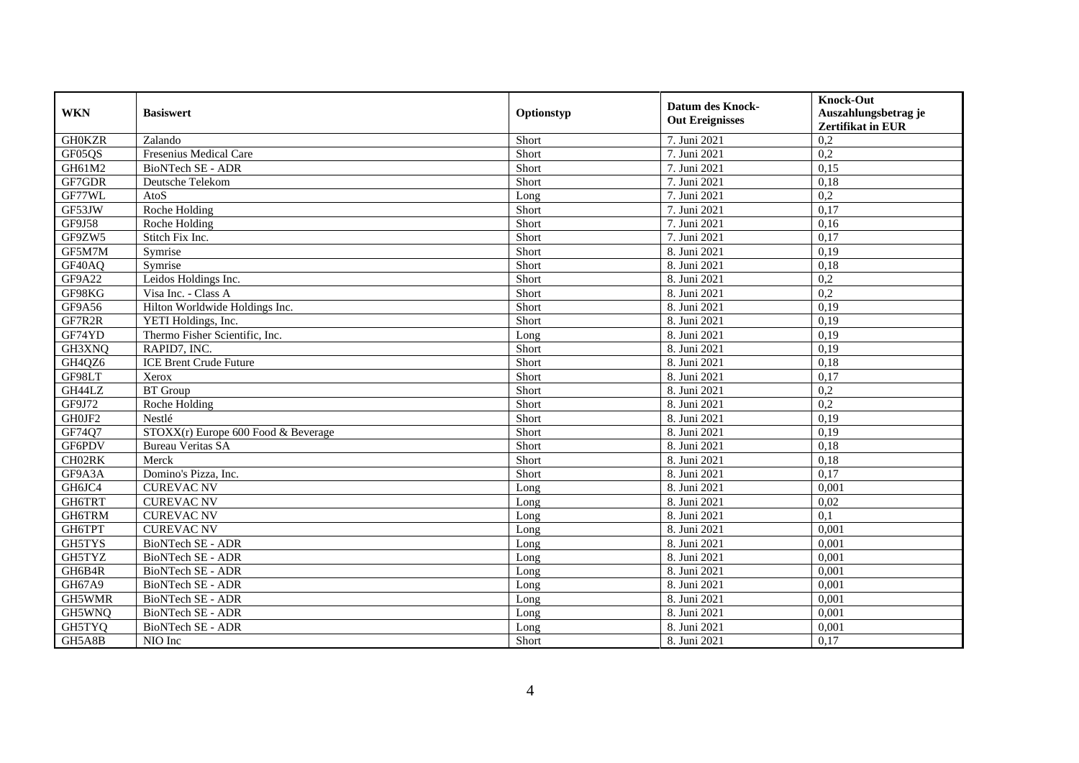| <b>WKN</b>    | <b>Basiswert</b>                    | Optionstyp | <b>Datum des Knock-</b><br><b>Out Ereignisses</b> | <b>Knock-Out</b><br>Auszahlungsbetrag je<br>Zertifikat in EUR |
|---------------|-------------------------------------|------------|---------------------------------------------------|---------------------------------------------------------------|
| <b>GH0KZR</b> | Zalando                             | Short      | 7. Juni 2021                                      | 0,2                                                           |
| GF05QS        | Fresenius Medical Care              | Short      | 7. Juni 2021                                      | 0,2                                                           |
| GH61M2        | BioNTech SE - ADR                   | Short      | 7. Juni 2021                                      | 0,15                                                          |
| GF7GDR        | Deutsche Telekom                    | Short      | 7. Juni 2021                                      | 0,18                                                          |
| GF77WL        | AtoS                                | Long       | 7. Juni 2021                                      | 0,2                                                           |
| GF53JW        | Roche Holding                       | Short      | 7. Juni 2021                                      | 0,17                                                          |
| <b>GF9J58</b> | Roche Holding                       | Short      | 7. Juni 2021                                      | 0,16                                                          |
| GF9ZW5        | Stitch Fix Inc.                     | Short      | 7. Juni 2021                                      | 0,17                                                          |
| GF5M7M        | Symrise                             | Short      | 8. Juni 2021                                      | 0,19                                                          |
| GF40AQ        | Symrise                             | Short      | 8. Juni 2021                                      | 0,18                                                          |
| GF9A22        | Leidos Holdings Inc.                | Short      | 8. Juni 2021                                      | 0,2                                                           |
| GF98KG        | Visa Inc. - Class A                 | Short      | 8. Juni 2021                                      | 0,2                                                           |
| GF9A56        | Hilton Worldwide Holdings Inc.      | Short      | 8. Juni 2021                                      | 0,19                                                          |
| GF7R2R        | YETI Holdings, Inc.                 | Short      | 8. Juni 2021                                      | 0,19                                                          |
| GF74YD        | Thermo Fisher Scientific, Inc.      | Long       | 8. Juni 2021                                      | 0,19                                                          |
| GH3XNQ        | RAPID7, INC.                        | Short      | 8. Juni 2021                                      | 0,19                                                          |
| GH4QZ6        | <b>ICE Brent Crude Future</b>       | Short      | 8. Juni 2021                                      | 0,18                                                          |
| GF98LT        | Xerox                               | Short      | 8. Juni 2021                                      | 0,17                                                          |
| GH44LZ        | <b>BT</b> Group                     | Short      | 8. Juni 2021                                      | 0,2                                                           |
| GF9J72        | Roche Holding                       | Short      | 8. Juni 2021                                      | 0,2                                                           |
| GH0JF2        | Nestlé                              | Short      | 8. Juni 2021                                      | 0,19                                                          |
| GF74Q7        | STOXX(r) Europe 600 Food & Beverage | Short      | 8. Juni 2021                                      | 0,19                                                          |
| GF6PDV        | <b>Bureau Veritas SA</b>            | Short      | 8. Juni 2021                                      | 0,18                                                          |
| CH02RK        | Merck                               | Short      | 8. Juni 2021                                      | 0,18                                                          |
| GF9A3A        | Domino's Pizza, Inc.                | Short      | 8. Juni 2021                                      | 0,17                                                          |
| GH6JC4        | <b>CUREVAC NV</b>                   | Long       | 8. Juni 2021                                      | 0,001                                                         |
| GH6TRT        | <b>CUREVAC NV</b>                   | Long       | 8. Juni 2021                                      | 0,02                                                          |
| GH6TRM        | <b>CUREVAC NV</b>                   | Long       | 8. Juni 2021                                      | 0,1                                                           |
| GH6TPT        | <b>CUREVAC NV</b>                   | Long       | 8. Juni 2021                                      | 0,001                                                         |
| GH5TYS        | <b>BioNTech SE - ADR</b>            | Long       | 8. Juni 2021                                      | 0,001                                                         |
| GH5TYZ        | <b>BioNTech SE - ADR</b>            | Long       | 8. Juni 2021                                      | 0,001                                                         |
| GH6B4R        | <b>BioNTech SE - ADR</b>            | Long       | 8. Juni 2021                                      | 0,001                                                         |
| GH67A9        | <b>BioNTech SE - ADR</b>            | Long       | 8. Juni 2021                                      | 0,001                                                         |
| GH5WMR        | <b>BioNTech SE - ADR</b>            | Long       | 8. Juni 2021                                      | 0,001                                                         |
| GH5WNQ        | BioNTech SE - ADR                   | Long       | 8. Juni 2021                                      | 0,001                                                         |
| GH5TYQ        | BioNTech SE - ADR                   | Long       | 8. Juni 2021                                      | 0,001                                                         |
| GH5A8B        | NIO Inc                             | Short      | 8. Juni 2021                                      | 0,17                                                          |